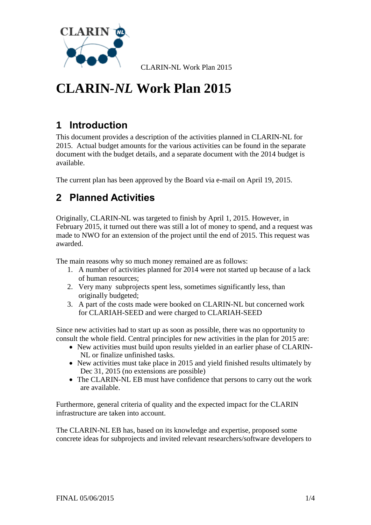

## **1 Introduction**

This document provides a description of the activities planned in CLARIN-NL for 2015. Actual budget amounts for the various activities can be found in the separate document with the budget details, and a separate document with the 2014 budget is available.

The current plan has been approved by the Board via e-mail on April 19, 2015.

## **2 Planned Activities**

Originally, CLARIN-NL was targeted to finish by April 1, 2015. However, in February 2015, it turned out there was still a lot of money to spend, and a request was made to NWO for an extension of the project until the end of 2015. This request was awarded.

The main reasons why so much money remained are as follows:

- 1. A number of activities planned for 2014 were not started up because of a lack of human resources;
- 2. Very many subprojects spent less, sometimes significantly less, than originally budgeted;
- 3. A part of the costs made were booked on CLARIN-NL but concerned work for CLARIAH-SEED and were charged to CLARIAH-SEED

Since new activities had to start up as soon as possible, there was no opportunity to consult the whole field. Central principles for new activities in the plan for 2015 are:

- New activities must build upon results yielded in an earlier phase of CLARIN-NL or finalize unfinished tasks.
- New activities must take place in 2015 and yield finished results ultimately by Dec 31, 2015 (no extensions are possible)
- The CLARIN-NL EB must have confidence that persons to carry out the work are available.

Furthermore, general criteria of quality and the expected impact for the CLARIN infrastructure are taken into account.

The CLARIN-NL EB has, based on its knowledge and expertise, proposed some concrete ideas for subprojects and invited relevant researchers/software developers to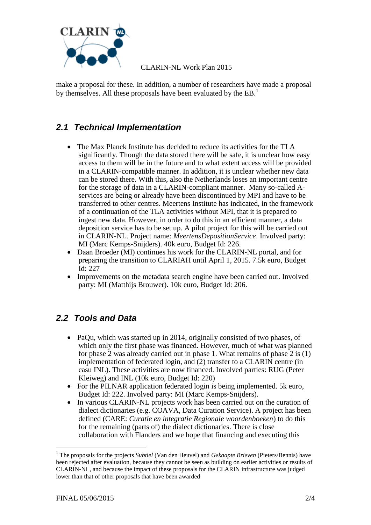

make a proposal for these. In addition, a number of researchers have made a proposal by themselves. All these proposals have been evaluated by the EB.<sup>1</sup>

### *2.1 Technical Implementation*

- The Max Planck Institute has decided to reduce its activities for the TLA significantly. Though the data stored there will be safe, it is unclear how easy access to them will be in the future and to what extent access will be provided in a CLARIN-compatible manner. In addition, it is unclear whether new data can be stored there. With this, also the Netherlands loses an important centre for the storage of data in a CLARIN-compliant manner. Many so-called Aservices are being or already have been discontinued by MPI and have to be transferred to other centres. Meertens Institute has indicated, in the framework of a continuation of the TLA activities without MPI, that it is prepared to ingest new data. However, in order to do this in an efficient manner, a data deposition service has to be set up. A pilot project for this will be carried out in CLARIN-NL. Project name: *MeertensDepositionService*. Involved party: MI (Marc Kemps-Snijders). 40k euro, Budget Id: 226.
- Daan Broeder (MI) continues his work for the CLARIN-NL portal, and for preparing the transition to CLARIAH until April 1, 2015. 7.5k euro, Budget Id: 227
- Improvements on the metadata search engine have been carried out. Involved party: MI (Matthijs Brouwer). 10k euro, Budget Id: 206.

#### *2.2 Tools and Data*

- PaQu, which was started up in 2014, originally consisted of two phases, of which only the first phase was financed. However, much of what was planned for phase 2 was already carried out in phase 1. What remains of phase 2 is (1) implementation of federated login, and (2) transfer to a CLARIN centre (in casu INL). These activities are now financed. Involved parties: RUG (Peter Kleiweg) and INL (10k euro, Budget Id: 220)
- For the PILNAR application federated login is being implemented. 5k euro, Budget Id: 222. Involved party: MI (Marc Kemps-Snijders).
- In various CLARIN-NL projects work has been carried out on the curation of dialect dictionaries (e.g. COAVA, Data Curation Service). A project has been defined (CARE: *Curatie en integratie Regionale woordenboeken*) to do this for the remaining (parts of) the dialect dictionaries. There is close collaboration with Flanders and we hope that financing and executing this

1

<sup>1</sup> The proposals for the projects *Subtiel* (Van den Heuvel) and *Gekaapte Brieven* (Pieters/Bennis) have been rejected after evaluation, because they cannot be seen as building on earlier activities or results of CLARIN-NL, and because the impact of these proposals for the CLARIN infrastructure was judged lower than that of other proposals that have been awarded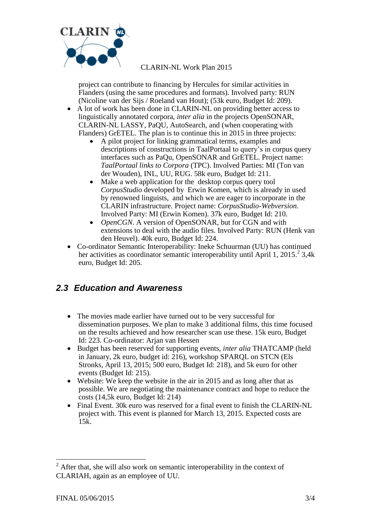

project can contribute to financing by Hercules for similar activities in Flanders (using the same procedures and formats). Involved party: RUN (Nicoline van der Sijs / Roeland van Hout); (53k euro, Budget Id: 209).

- A lot of work has been done in CLARIN-NL on providing better access to linguistically annotated corpora, *inter alia* in the projects OpenSONAR, CLARIN-NL LASSY, PaQU, AutoSearch, and (when cooperating with Flanders) GrETEL. The plan is to continue this in 2015 in three projects:
	- A pilot project for linking grammatical terms, examples and descriptions of constructions in TaalPortaal to query's in corpus query interfaces such as PaQu, OpenSONAR and GrETEL. Project name: *TaalPortaal links to Corpora* (TPC). Involved Parties: MI (Ton van der Wouden), INL, UU, RUG. 58k euro, Budget Id: 211.
	- Make a web application for the desktop corpus query tool *CorpusStudio* developed by Erwin Komen, which is already in used by renowned linguists, and which we are eager to incorporate in the CLARIN infrastructure. Project name: *CorpusStudio-Webversion*. Involved Party: MI (Erwin Komen). 37k euro, Budget Id: 210.
	- *OpenCGN*. A version of OpenSONAR, but for CGN and with extensions to deal with the audio files. Involved Party: RUN (Henk van den Heuvel). 40k euro, Budget Id: 224.
- Co-ordinator Semantic Interoperability: Ineke Schuurman (UU) has continued her activities as coordinator semantic interoperability until April 1, 2015.<sup>2</sup> 3,4k euro, Budget Id: 205.

#### *2.3 Education and Awareness*

- The movies made earlier have turned out to be very successful for dissemination purposes. We plan to make 3 additional films, this time focused on the results achieved and how researcher scan use these. 15k euro, Budget Id: 223. Co-ordinator: Arjan van Hessen
- Budget has been reserved for supporting events, *inter alia* THATCAMP (held in January, 2k euro, budget id: 216), workshop SPARQL on STCN (Els Stronks, April 13, 2015; 500 euro, Budget Id: 218), and 5k euro for other events (Budget Id: 215).
- Website: We keep the website in the air in 2015 and as long after that as possible. We are negotiating the maintenance contract and hope to reduce the costs (14,5k euro, Budget Id: 214)
- Final Event. 30k euro was reserved for a final event to finish the CLARIN-NL project with. This event is planned for March 13, 2015. Expected costs are 15k.

1

 $2$  After that, she will also work on semantic interoperability in the context of CLARIAH, again as an employee of UU.